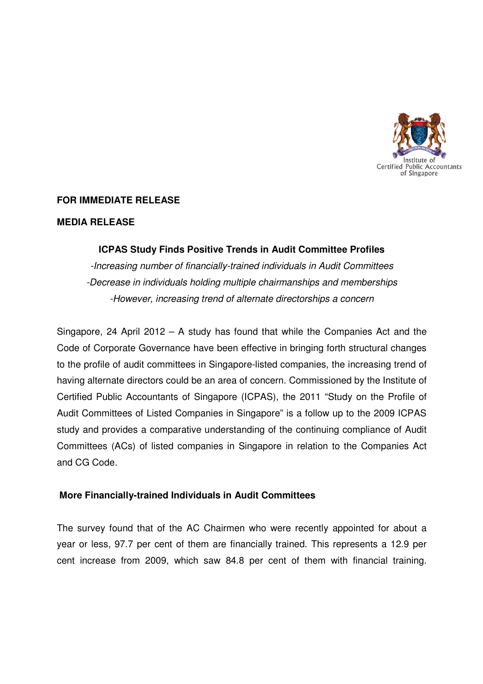

# **FOR IMMEDIATE RELEASE**

## **MEDIA RELEASE**

# **ICPAS Study Finds Positive Trends in Audit Committee Profiles**

-Increasing number of financially-trained individuals in Audit Committees -Decrease in individuals holding multiple chairmanships and memberships -However, increasing trend of alternate directorships a concern

Singapore, 24 April 2012 – A study has found that while the Companies Act and the Code of Corporate Governance have been effective in bringing forth structural changes to the profile of audit committees in Singapore-listed companies, the increasing trend of having alternate directors could be an area of concern. Commissioned by the Institute of Certified Public Accountants of Singapore (ICPAS), the 2011 "Study on the Profile of Audit Committees of Listed Companies in Singapore" is a follow up to the 2009 ICPAS study and provides a comparative understanding of the continuing compliance of Audit Committees (ACs) of listed companies in Singapore in relation to the Companies Act and CG Code.

## **More Financially-trained Individuals in Audit Committees**

The survey found that of the AC Chairmen who were recently appointed for about a year or less, 97.7 per cent of them are financially trained. This represents a 12.9 per cent increase from 2009, which saw 84.8 per cent of them with financial training.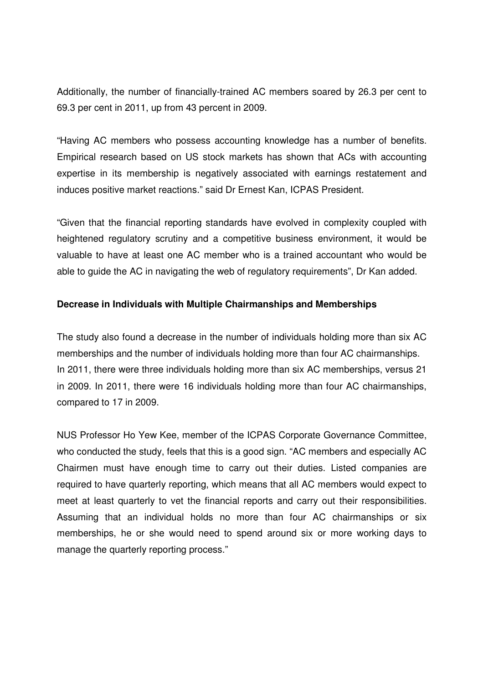Additionally, the number of financially-trained AC members soared by 26.3 per cent to 69.3 per cent in 2011, up from 43 percent in 2009.

"Having AC members who possess accounting knowledge has a number of benefits. Empirical research based on US stock markets has shown that ACs with accounting expertise in its membership is negatively associated with earnings restatement and induces positive market reactions." said Dr Ernest Kan, ICPAS President.

"Given that the financial reporting standards have evolved in complexity coupled with heightened regulatory scrutiny and a competitive business environment, it would be valuable to have at least one AC member who is a trained accountant who would be able to guide the AC in navigating the web of regulatory requirements", Dr Kan added.

# **Decrease in Individuals with Multiple Chairmanships and Memberships**

The study also found a decrease in the number of individuals holding more than six AC memberships and the number of individuals holding more than four AC chairmanships. In 2011, there were three individuals holding more than six AC memberships, versus 21 in 2009. In 2011, there were 16 individuals holding more than four AC chairmanships, compared to 17 in 2009.

NUS Professor Ho Yew Kee, member of the ICPAS Corporate Governance Committee, who conducted the study, feels that this is a good sign. "AC members and especially AC Chairmen must have enough time to carry out their duties. Listed companies are required to have quarterly reporting, which means that all AC members would expect to meet at least quarterly to vet the financial reports and carry out their responsibilities. Assuming that an individual holds no more than four AC chairmanships or six memberships, he or she would need to spend around six or more working days to manage the quarterly reporting process."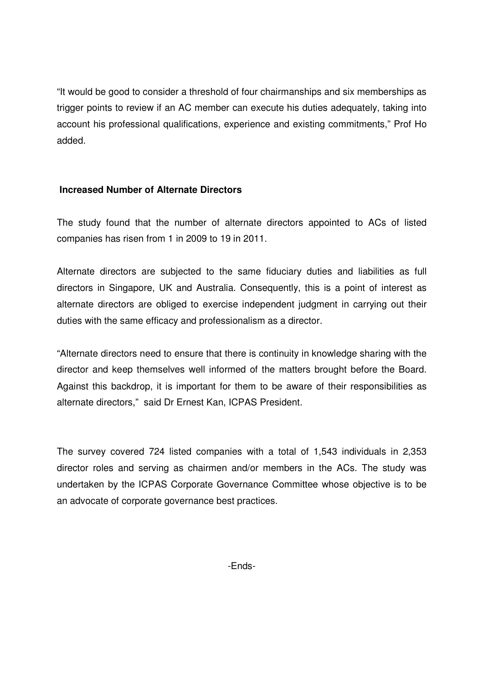"It would be good to consider a threshold of four chairmanships and six memberships as trigger points to review if an AC member can execute his duties adequately, taking into account his professional qualifications, experience and existing commitments," Prof Ho added.

# **Increased Number of Alternate Directors**

The study found that the number of alternate directors appointed to ACs of listed companies has risen from 1 in 2009 to 19 in 2011.

Alternate directors are subjected to the same fiduciary duties and liabilities as full directors in Singapore, UK and Australia. Consequently, this is a point of interest as alternate directors are obliged to exercise independent judgment in carrying out their duties with the same efficacy and professionalism as a director.

"Alternate directors need to ensure that there is continuity in knowledge sharing with the director and keep themselves well informed of the matters brought before the Board. Against this backdrop, it is important for them to be aware of their responsibilities as alternate directors," said Dr Ernest Kan, ICPAS President.

The survey covered 724 listed companies with a total of 1,543 individuals in 2,353 director roles and serving as chairmen and/or members in the ACs. The study was undertaken by the ICPAS Corporate Governance Committee whose objective is to be an advocate of corporate governance best practices.

-Ends-